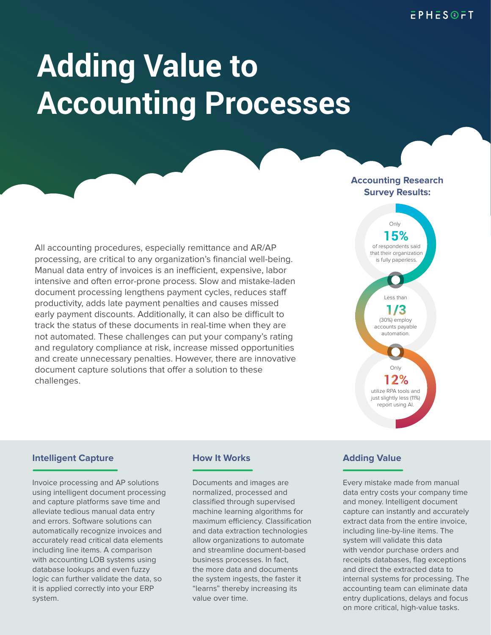# **Adding Value to Accounting Processes**

### **Accounting Research Survey Results:**

All accounting procedures, especially remittance and AR/AP processing, are critical to any organization's financial well-being. Manual data entry of invoices is an inefficient, expensive, labor intensive and often error-prone process. Slow and mistake-laden document processing lengthens payment cycles, reduces staff productivity, adds late payment penalties and causes missed early payment discounts. Additionally, it can also be difficult to track the status of these documents in real-time when they are not automated. These challenges can put your company's rating and regulatory compliance at risk, increase missed opportunities and create unnecessary penalties. However, there are innovative document capture solutions that offer a solution to these challenges.



### **Intelligent Capture <b>How It Works**

Invoice processing and AP solutions using intelligent document processing and capture platforms save time and alleviate tedious manual data entry and errors. Software solutions can automatically recognize invoices and accurately read critical data elements including line items. A comparison with accounting LOB systems using database lookups and even fuzzy logic can further validate the data, so it is applied correctly into your ERP system.

Documents and images are normalized, processed and classified through supervised machine learning algorithms for maximum efficiency. Classification and data extraction technologies allow organizations to automate and streamline document-based business processes. In fact, the more data and documents the system ingests, the faster it "learns" thereby increasing its value over time.

## **Adding Value**

Every mistake made from manual data entry costs your company time and money. Intelligent document capture can instantly and accurately extract data from the entire invoice, including line-by-line items. The system will validate this data with vendor purchase orders and receipts databases, flag exceptions and direct the extracted data to internal systems for processing. The accounting team can eliminate data entry duplications, delays and focus on more critical, high-value tasks.